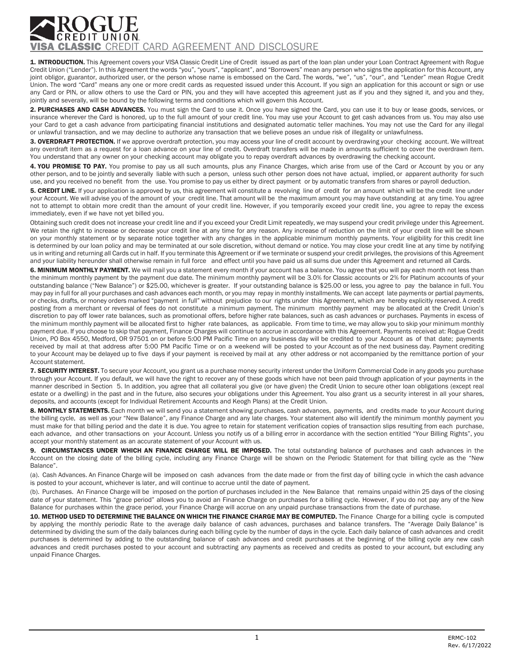## **SSIC** CREDIT CARD AGREEMENT AND DISCLOSURE

1. INTRODUCTION. This Agreement covers your VISA Classic Credit Line of Credit issued as part of the loan plan under your Loan Contract Agreement with Rogue Credit Union ("Lender"). In this Agreement the words "you", "yours", "applicant", and "Borrowers" mean any person who signs the application for this Account, any joint obligor, guarantor, authorized user, or the person whose name is embossed on the Card. The words, "we", "us", "our", and "Lender" mean Rogue Credit Union. The word "Card" means any one or more credit cards as requested issued under this Account. If you sign an application for this account or sign or use any Card or PIN, or allow others to use the Card or PIN, you and they will have accepted this agreement just as if you and they signed it, and you and they, jointly and severally, will be bound by the following terms and conditions which will govern this Account.

2. PURCHASES AND CASH ADVANCES. You must sign the Card to use it. Once you have signed the Card, you can use it to buy or lease goods, services, or insurance wherever the Card is honored, up to the full amount of your credit line. You may use your Account to get cash advances from us. You may also use your Card to get a cash advance from participating financial institutions and designated automatic teller machines. You may not use the Card for any illegal or unlawful transaction, and we may decline to authorize any transaction that we believe poses an undue risk of illegality or unlawfulness.

3. OVERDRAFT PROTECTION. If we approve overdraft protection, you may access your line of credit account by overdrawing your checking account. We willtreat any overdraft item as a request for a loan advance on your line of credit. Overdraft transfers will be made in amounts sufficient to cover the overdrawn item. You understand that any owner on your checking account may obligate you to repay overdraft advances by overdrawing the checking account.

4. YOU PROMISE TO PAY. You promise to pay us all such amounts, plus any Finance Charges, which arise from use of the Card or Account by you or any other person, and to be jointly and severally liable with such a person, unless such other person does not have actual, implied, or apparent authority for such use, and you received no benefit from the use. You promise to pay us either by direct payment or by automatic transfers from shares or payroll deduction.

5. CREDIT LINE. If your application is approved by us, this agreement will constitute a revolving line of credit for an amount which will be the credit line under your Account. We will advise you of the amount of your credit line. That amount will be the maximum amount you may have outstanding at any time. You agree not to attempt to obtain more credit than the amount of your credit line. However, if you temporarily exceed your credit line, you agree to repay the excess immediately, even if we have not yet billed you.

Obtaining such credit does not increase your credit line and if you exceed your Credit Limit repeatedly, we may suspend your credit privilege under this Agreement. We retain the right to increase or decrease your credit line at any time for any reason. Any increase of reduction on the limit of your credit line will be shown on your monthly statement or by separate notice together with any changes in the applicable minimum monthly payments. Your eligibility for this credit line is determined by our loan policy and may be terminated at our sole discretion, without demand or notice. You may close your credit line at any time by notifying us in writing and returning all Cards cut in half. If you terminate this Agreement or if we terminate or suspend your credit privileges, the provisions of this Agreement and your liability hereunder shall otherwise remain in full force and effect until you have paid us all sums due under this Agreement and returned all Cards.

6. MINIMUM MONTHLY PAYMENT. We will mail you a statement every month if your account has a balance. You agree that you will pay each month not less than the minimum monthly payment by the payment due date. The minimum monthly payment will be 3.0% for Classic accounts or 2% for Platinum accounts of your outstanding balance ("New Balance") or \$25.00, whichever is greater. If your outstanding balance is \$25.00 or less, you agree to pay the balance in full. You may pay in full for all your purchases and cash advances each month, or you may repay in monthly installments. We can accept late payments or partial payments, or checks, drafts, or money orders marked "payment in full" without prejudice to our rights under this Agreement, which are hereby explicitly reserved. A credit posting from a merchant or reversal of fees do not constitute a minimum payment. The minimum monthly payment may be allocated at the Credit Union's discretion to pay off lower rate balances, such as promotional offers, before higher rate balances, such as cash advances or purchases. Payments in excess of the minimum monthly payment will be allocated first to higher rate balances, as applicable. From time to time, we may allow you to skip your minimum monthly payment due. If you choose to skip that payment, Finance Charges will continue to accrue in accordance with this Agreement. Payments received at: Rogue Credit Union, PO Box 4550, Medford, OR 97501 on or before 5:00 PM Pacific Time on any business day will be credited to your Account as of that date; payments received by mail at that address after 5:00 PM Pacific Time or on a weekend will be posted to your Account as of the next business day. Payment crediting to your Account may be delayed up to five days if your payment is received by mail at any other address or not accompanied by the remittance portion of your Account statement.

7. SECURITY INTEREST. To secure your Account, you grant us a purchase money security interest under the Uniform Commercial Code in any goods you purchase through your Account. If you default, we will have the right to recover any of these goods which have not been paid through application of your payments in the manner described in Section 5. In addition, you agree that all collateral you give (or have given) the Credit Union to secure other loan obligations (except real estate or a dwelling) in the past and in the future, also secures your obligations under this Agreement. You also grant us a security interest in all your shares, deposits, and accounts (except for Individual Retirement Accounts and Keogh Plans) at the Credit Union.

8. MONTHLY STATEMENTS. Each month we will send you a statement showing purchases, cash advances, payments, and credits made to your Account during the billing cycle, as well as your "New Balance", any Finance Charge and any late charges. Your statement also will identify the minimum monthly payment you must make for that billing period and the date it is due. You agree to retain for statement verification copies of transaction slips resulting from each purchase, each advance, and other transactions on your Account. Unless you notify us of a billing error in accordance with the section entitled "Your Billing Rights", you accept your monthly statement as an accurate statement of your Account with us.

9. CIRCUMSTANCES UNDER WHICH AN FINANCE CHARGE WILL BE IMPOSED. The total outstanding balance of purchases and cash advances in the Account on the closing date of the billing cycle, including any Finance Charge will be shown on the Periodic Statement for that billing cycle as the "New Balance".

(a). Cash Advances. An Finance Charge will be imposed on cash advances from the date made or from the first day of billing cycle in which the cash advance is posted to your account, whichever is later, and will continue to accrue until the date of payment.

(b). Purchases. An Finance Charge will be imposed on the portion of purchases included in the New Balance that remains unpaid within 25 days of the closing date of your statement. This "grace period" allows you to avoid an Finance Charge on purchases for a billing cycle. However, if you do not pay any of the New Balance for purchases within the grace period, your Finance Charge will accrue on any unpaid purchase transactions from the date of purchase.

10. METHOD USED TO DETERMINE THE BALANCE ON WHICH THE FINANCE CHARGE MAY BE COMPUTED. The Finance Charge for a billing cycle is computed by applying the monthly periodic Rate to the average daily balance of cash advances, purchases and balance transfers. The "Average Daily Balance" is determined by dividing the sum of the daily balances during each billing cycle by the number of days in the cycle. Each daily balance of cash advances and credit purchases is determined by adding to the outstanding balance of cash advances and credit purchases at the beginning of the billing cycle any new cash advances and credit purchases posted to your account and subtracting any payments as received and credits as posted to your account, but excluding any unpaid Finance Charges.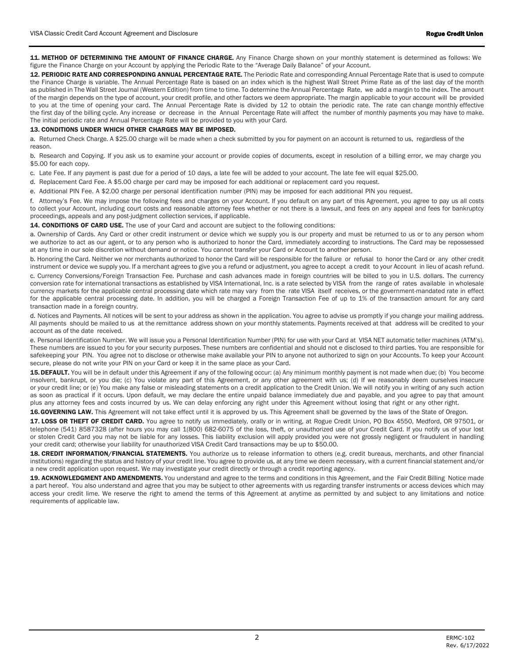11. METHOD OF DETERMINING THE AMOUNT OF FINANCE CHARGE. Any Finance Charge shown on your monthly statement is determined as follows: We figure the Finance Charge on your Account by applying the Periodic Rate to the "Average Daily Balance" of your Account.

12. PERIODIC RATE AND CORRESPONDING ANNUAL PERCENTAGE RATE. The Periodic Rate and corresponding Annual Percentage Rate that is used to compute the Finance Charge is variable. The Annual Percentage Rate is based on an index which is the highest Wall Street Prime Rate as of the last day of the month as published in The Wall Street Journal (Western Edition) from time to time. To determine the Annual Percentage Rate, we add a margin to the index. The amount of the margin depends on the type of account, your credit profile, and other factors we deem appropriate. The margin applicable to your account will be provided to you at the time of opening your card. The Annual Percentage Rate is divided by 12 to obtain the periodic rate. The rate can change monthly effective the first day of the billing cycle. Any increase or decrease in the Annual Percentage Rate will affect the number of monthly payments you may have to make. The initial periodic rate and Annual Percentage Rate will be provided to you with your Card.

## 13. CONDITIONS UNDER WHICH OTHER CHARGES MAY BE IMPOSED.

a. Returned Check Charge. A \$25.00 charge will be made when a check submitted by you for payment on an account is returned to us, regardless of the reason.

b. Research and Copying. If you ask us to examine your account or provide copies of documents, except in resolution of a billing error, we may charge you \$5.00 for each copy.

c. Late Fee. If any payment is past due for a period of 10 days, a late fee will be added to your account. The late fee will equal \$25.00.

d. Replacement Card Fee. A \$5.00 charge per card may be imposed for each additional or replacement card you request.

e. Additional PIN Fee. A \$2.00 charge per personal identification number (PIN) may be imposed for each additional PIN you request.

f. Attorney's Fee. We may impose the following fees and charges on your Account. If you default on any part of this Agreement, you agree to pay us all costs to collect your Account, including court costs and reasonable attorney fees whether or not there is a lawsuit, and fees on any appeal and fees for bankruptcy proceedings, appeals and any post-judgment collection services, if applicable.

14. CONDITIONS OF CARD USE. The use of your Card and account are subject to the following conditions:

a. Ownership of Cards. Any Card or other credit instrument or device which we supply you is our property and must be returned to us or to any person whom we authorize to act as our agent, or to any person who is authorized to honor the Card, immediately according to instructions. The Card may be repossessed at any time in our sole discretion without demand or notice. You cannot transfer your Card or Account to another person.

b. Honoring the Card. Neither we nor merchants authorized to honor the Card will be responsible for the failure or refusal to honor the Card or any other credit instrument or device we supply you. If a merchant agrees to give you a refund or adjustment, you agree to accept a credit to your Account in lieu of acash refund.

c. Currency Conversions/Foreign Transaction Fee. Purchase and cash advances made in foreign countries will be billed to you in U.S. dollars. The currency conversion rate for international transactions as established by VISA International, Inc. is a rate selected by VISA from the range of rates available in wholesale currency markets for the applicable central processing date which rate may vary from the rate VISA itself receives, or the government-mandated rate in effect for the applicable central processing date. In addition, you will be charged a Foreign Transaction Fee of up to 1% of the transaction amount for any card transaction made in a foreign country.

d. Notices and Payments. All notices will be sent to your address as shown in the application. You agree to advise us promptly if you change your mailing address. All payments should be mailed to us at the remittance address shown on your monthly statements. Payments received at that address will be credited to your account as of the date received.

e. Personal Identification Number. We will issue you a Personal Identification Number (PIN) for use with your Card at VISA NET automatic teller machines (ATM's). These numbers are issued to you for your security purposes. These numbers are confidential and should not e disclosed to third parties. You are responsible for safekeeping your PIN. You agree not to disclose or otherwise make available your PIN to anyone not authorized to sign on your Accounts. To keep your Account secure, please do not write your PIN on your Card or keep it in the same place as your Card.

15. DEFAULT. You will be in default under this Agreement if any of the following occur: (a) Any minimum monthly payment is not made when due; (b) You become insolvent, bankrupt, or you die; (c) You violate any part of this Agreement, or any other agreement with us; (d) If we reasonably deem ourselves insecure or your credit line; or (e) You make any false or misleading statements on a credit application to the Credit Union. We will notify you in writing of any such action as soon as practical if it occurs. Upon default, we may declare the entire unpaid balance immediately due and payable, and you agree to pay that amount plus any attorney fees and costs incurred by us. We can delay enforcing any right under this Agreement without losing that right or any other right.

16.GOVERNING LAW. This Agreement will not take effect until it is approved by us. This Agreement shall be governed by the laws of the State of Oregon.

17. LOSS OR THEFT OF CREDIT CARD. You agree to notify us immediately, orally or in writing, at Rogue Credit Union, PO Box 4550, Medford, OR 97501, or telephone (541) 8587328 (after hours you may call 1(800) 682-6075 of the loss, theft, or unauthorized use of your Credit Card. If you notify us of your lost or stolen Credit Card you may not be liable for any losses. This liability exclusion will apply provided you were not grossly negligent or fraudulent in handling your credit card; otherwise your liability for unauthorized VISA Credit Card transactions may be up to \$50.00.

18. CREDIT INFORMATION/FINANCIAL STATEMENTS. You authorize us to release information to others (e.g. credit bureaus, merchants, and other financial institutions) regarding the status and history of your credit line. You agree to provide us, at any time we deem necessary, with a current financial statement and/or a new credit application upon request. We may investigate your credit directly or through a credit reporting agency.

19. ACKNOWLEDGMENT AND AMENDMENTS. You understand and agree to the terms and conditions in this Agreement, and the Fair Credit Billing Notice made a part hereof. You also understand and agree that you may be subject to other agreements with us regarding transfer instruments or access devices which may access your credit lime. We reserve the right to amend the terms of this Agreement at anytime as permitted by and subject to any limitations and notice requirements of applicable law.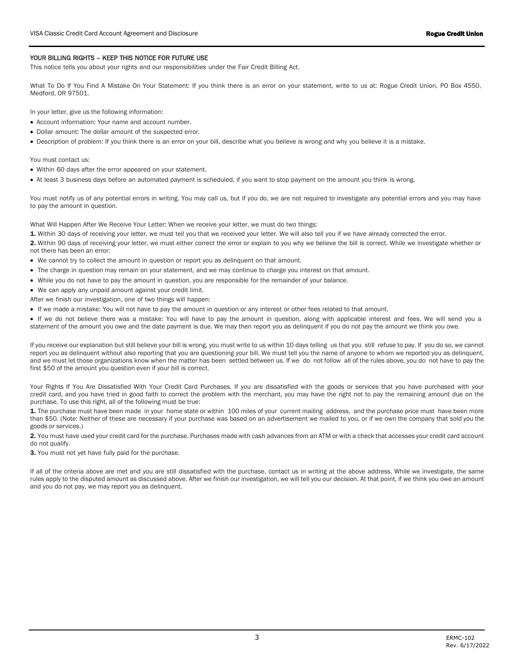## YOUR BILLING RIGHTS - KEEP THIS NOTICE FOR FUTURE USE

This notice tells you about your rights and our responsibilities under the Fair Credit Billing Act.

What To Do If You Find A Mistake On Your Statement: If you think there is an error on your statement, write to us at: Rogue Credit Union, PO Box 4550, Medford, OR 97501.

In your letter, give us the following information:

- Account information: Your name and account number.
- Dollar amount: The dollar amount of the suspected error.
- Description of problem: If you think there is an error on your bill, describe what you believe is wrong and why you believe it is a mistake.

You must contact us:

- Within 60 days after the error appeared on your statement.
- At least 3 business days before an automated payment is scheduled, if you want to stop payment on the amount you think is wrong.

You must notify us of any potential errors in writing. You may call us, but if you do, we are not required to investigate any potential errors and you may have to pay the amount in question.

What Will Happen After We Receive Your Letter: When we receive your letter, we must do two things:

1. Within 30 days of receiving your letter, we must tell you that we received your letter. We will also tell you if we have already corrected the error.

2. Within 90 days of receiving your letter, we must either correct the error or explain to you why we believe the bill is correct. While we investigate whether or not there has been an error:

- We cannot try to collect the amount in question or report you as delinquent on that amount.
- The charge in question may remain on your statement, and we may continue to charge you interest on that amount.
- While you do not have to pay the amount in question, you are responsible for the remainder of your balance.

• We can apply any unpaid amount against your credit limit.

After we finish our investigation, one of two things will happen:

• If we made a mistake: You will not have to pay the amount in question or any interest or other fees related to that amount.

• If we do not believe there was a mistake: You will have to pay the amount in question, along with applicable interest and fees. We will send you a statement of the amount you owe and the date payment is due. We may then report you as delinquent if you do not pay the amount we think you owe.

If you receive our explanation but still believe your bill is wrong, you must write to us within 10 days telling us that you still refuse to pay. If you do so, we cannot report you as delinquent without also reporting that you are questioning your bill. We must tell you the name of anyone to whom we reported you as delinquent, and we must let those organizations know when the matter has been settled between us. If we do not follow all of the rules above, you do not have to pay the first \$50 of the amount you question even if your bill is correct.

Your Rights If You Are Dissatisfied With Your Credit Card Purchases. If you are dissatisfied with the goods or services that you have purchased with your credit card, and you have tried in good faith to correct the problem with the merchant, you may have the right not to pay the remaining amount due on the purchase. To use this right, all of the following must be true:

1. The purchase must have been made in your home state or within 100 miles of your current mailing address, and the purchase price must have been more than \$50. (Note: Neither of these are necessary if your purchase was based on an advertisement we mailed to you, or if we own the company that sold you the goods or services.)

2. You must have used your credit card for the purchase. Purchases made with cash advances from an ATM or with a check that accesses your credit card account do not qualify.

3. You must not yet have fully paid for the purchase.

If all of the criteria above are met and you are still dissatisfied with the purchase, contact us in writing at the above address. While we investigate, the same rules apply to the disputed amount as discussed above. After we finish our investigation, we will tell you our decision. At that point, if we think you owe an amount and you do not pay, we may report you as delinquent.